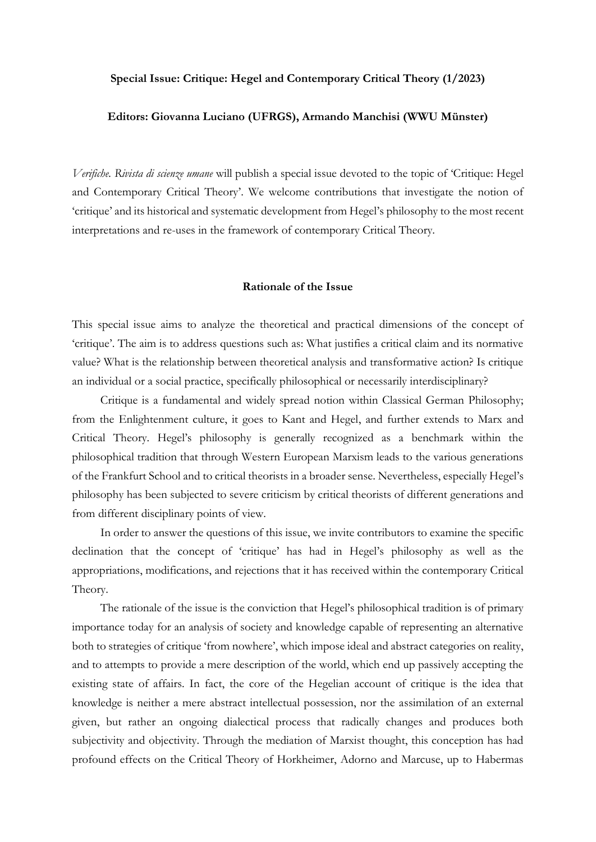#### **Special Issue: Critique: Hegel and Contemporary Critical Theory (1/2023)**

### **Editors: Giovanna Luciano (UFRGS), Armando Manchisi (WWU Münster)**

*Verifiche. Rivista di scienze umane* will publish a special issue devoted to the topic of 'Critique: Hegel and Contemporary Critical Theory'. We welcome contributions that investigate the notion of 'critique' and its historical and systematic development from Hegel's philosophy to the most recent interpretations and re-uses in the framework of contemporary Critical Theory.

#### **Rationale of the Issue**

This special issue aims to analyze the theoretical and practical dimensions of the concept of 'critique'. The aim is to address questions such as: What justifies a critical claim and its normative value? What is the relationship between theoretical analysis and transformative action? Is critique an individual or a social practice, specifically philosophical or necessarily interdisciplinary?

Critique is a fundamental and widely spread notion within Classical German Philosophy; from the Enlightenment culture, it goes to Kant and Hegel, and further extends to Marx and Critical Theory. Hegel's philosophy is generally recognized as a benchmark within the philosophical tradition that through Western European Marxism leads to the various generations of the Frankfurt School and to critical theorists in a broader sense. Nevertheless, especially Hegel's philosophy has been subjected to severe criticism by critical theorists of different generations and from different disciplinary points of view.

In order to answer the questions of this issue, we invite contributors to examine the specific declination that the concept of 'critique' has had in Hegel's philosophy as well as the appropriations, modifications, and rejections that it has received within the contemporary Critical Theory.

The rationale of the issue is the conviction that Hegel's philosophical tradition is of primary importance today for an analysis of society and knowledge capable of representing an alternative both to strategies of critique 'from nowhere', which impose ideal and abstract categories on reality, and to attempts to provide a mere description of the world, which end up passively accepting the existing state of affairs. In fact, the core of the Hegelian account of critique is the idea that knowledge is neither a mere abstract intellectual possession, nor the assimilation of an external given, but rather an ongoing dialectical process that radically changes and produces both subjectivity and objectivity. Through the mediation of Marxist thought, this conception has had profound effects on the Critical Theory of Horkheimer, Adorno and Marcuse, up to Habermas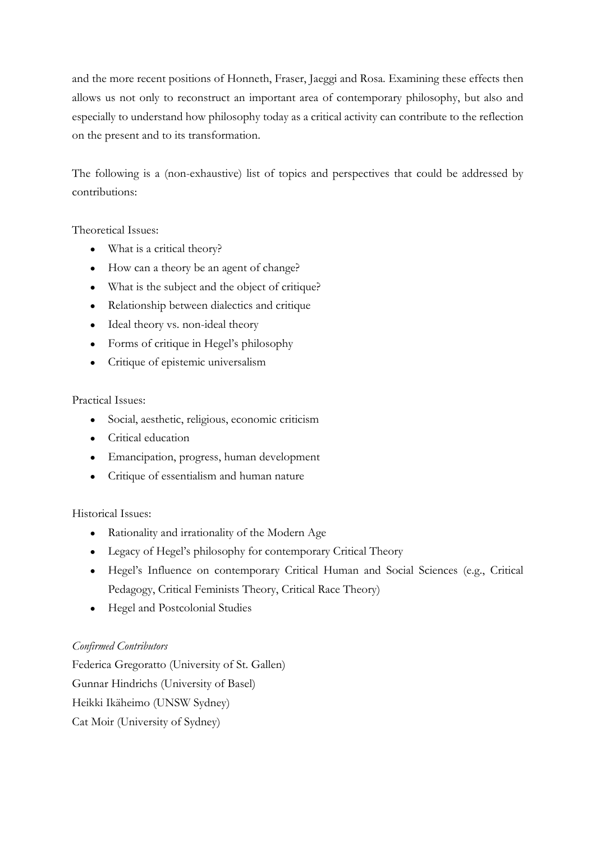and the more recent positions of Honneth, Fraser, Jaeggi and Rosa. Examining these effects then allows us not only to reconstruct an important area of contemporary philosophy, but also and especially to understand how philosophy today as a critical activity can contribute to the reflection on the present and to its transformation.

The following is a (non-exhaustive) list of topics and perspectives that could be addressed by contributions:

Theoretical Issues:

- What is a critical theory?
- How can a theory be an agent of change?
- What is the subject and the object of critique?
- Relationship between dialectics and critique
- Ideal theory vs. non-ideal theory
- Forms of critique in Hegel's philosophy
- Critique of epistemic universalism

## Practical Issues:

- Social, aesthetic, religious, economic criticism
- Critical education
- Emancipation, progress, human development
- Critique of essentialism and human nature

## Historical Issues:

- Rationality and irrationality of the Modern Age
- Legacy of Hegel's philosophy for contemporary Critical Theory
- Hegel's Influence on contemporary Critical Human and Social Sciences (e.g., Critical Pedagogy, Critical Feminists Theory, Critical Race Theory)
- Hegel and Postcolonial Studies

# *Confirmed Contributors*

Federica Gregoratto (University of St. Gallen) Gunnar Hindrichs (University of Basel) Heikki Ikäheimo (UNSW Sydney) Cat Moir (University of Sydney)